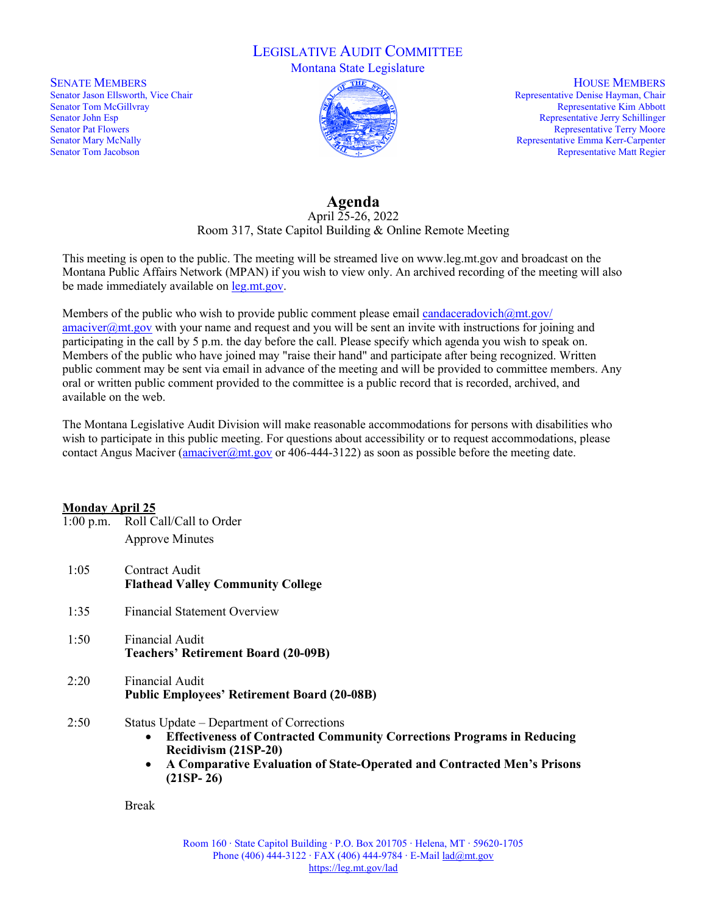### LEGISLATIVE AUDIT COMMITTEE

Montana State Legislature

SENATE MEMBERS Senator Jason Ellsworth, Vice Chair Senator Tom McGillvray Senator John Esp Senator Pat Flowers Senator Mary McNally Senator Tom Jacobson



HOUSE MEMBERS Representative Denise Hayman, Chair Representative Kim Abbott Representative Jerry Schillinger Representative Terry Moore Representative Emma Kerr-Carpenter Representative Matt Regier

# **Agenda**

April 25-26, 2022 Room 317, State Capitol Building & Online Remote Meeting

This meeting is open to the public. The meeting will be streamed live on www.leg.mt.gov and broadcast on the Montana Public Affairs Network (MPAN) if you wish to view only. An archived recording of the meeting will also be made immediately available o[n leg.mt.gov.](https://leg.mt.gov/)

Members of the public who wish to provide public comment please email candaceradovich $@mt.gov/$  $\frac{amaciver@mt.gov}{with your name and request and you will be sent an invite with instructions for joining and$ participating in the call by 5 p.m. the day before the call. Please specify which agenda you wish to speak on. Members of the public who have joined may "raise their hand" and participate after being recognized. Written public comment may be sent via email in advance of the meeting and will be provided to committee members. Any oral or written public comment provided to the committee is a public record that is recorded, archived, and available on the web.

The Montana Legislative Audit Division will make reasonable accommodations for persons with disabilities who wish to participate in this public meeting. For questions about accessibility or to request accommodations, please contact Angus Maciver (amaciver  $(2)$ mt.gov or 406-444-3122) as soon as possible before the meeting date.

#### **Monday April 25**

- 1:00 p.m. Roll Call/Call to Order Approve Minutes
- 1:05 Contract Audit **Flathead Valley Community College**
- 1:35 Financial Statement Overview
- 1:50 Financial Audit **Teachers' Retirement Board (20-09B)**
- 2:20 Financial Audit **Public Employees' Retirement Board (20-08B)**
- 2:50 Status Update Department of Corrections
	- **Effectiveness of Contracted Community Corrections Programs in Reducing Recidivism (21SP-20)**
	- **A Comparative Evaluation of State-Operated and Contracted Men's Prisons (21SP- 26)**

Break